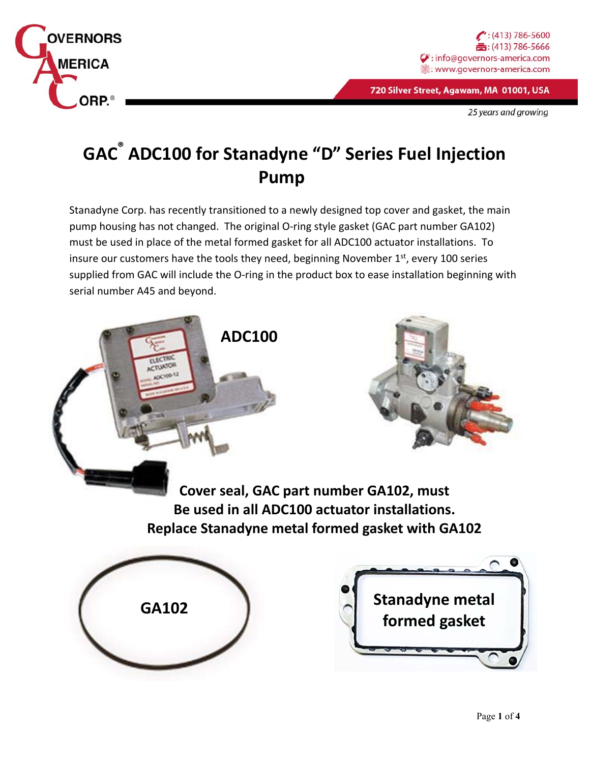

25 years and growing

## **GAC ® ADC100 for Stanadyne "D" Series Fuel Injection Pump**

Stanadyne Corp. has recently transitioned to a newly designed top cover and gasket, the main pump housing has not changed. The original O-ring style gasket (GAC part number GA102) must be used in place of the metal formed gasket for all ADC100 actuator installations. To insure our customers have the tools they need, beginning November  $1<sup>st</sup>$ , every 100 series supplied from GAC will include the O-ring in the product box to ease installation beginning with serial number A45 and beyond.

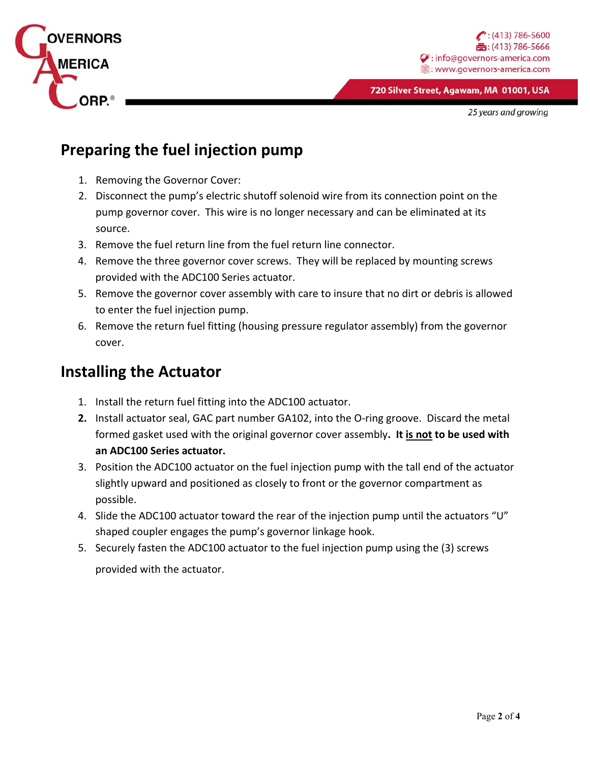

25 years and growing

## **Preparing the fuel injection pump**

- 1. Removing the Governor Cover:
- 2. Disconnect the pump's electric shutoff solenoid wire from its connection point on the pump governor cover. This wire is no longer necessary and can be eliminated at its source.
- 3. Remove the fuel return line from the fuel return line connector.
- 4. Remove the three governor cover screws. They will be replaced by mounting screws provided with the ADC100 Series actuator.
- 5. Remove the governor cover assembly with care to insure that no dirt or debris is allowed to enter the fuel injection pump.
- 6. Remove the return fuel fitting (housing pressure regulator assembly) from the governor cover.

## **Installing the Actuator**

- 1. Install the return fuel fitting into the ADC100 actuator.
- **2.** Install actuator seal, GAC part number GA102, into the O‐ring groove. Discard the metal formed gasket used with the original governor cover assembly**. It is not to be used with an ADC100 Series actuator.**
- 3. Position the ADC100 actuator on the fuel injection pump with the tall end of the actuator slightly upward and positioned as closely to front or the governor compartment as possible.
- 4. Slide the ADC100 actuator toward the rear of the injection pump until the actuators "U" shaped coupler engages the pump's governor linkage hook.
- 5. Securely fasten the ADC100 actuator to the fuel injection pump using the (3) screws provided with the actuator.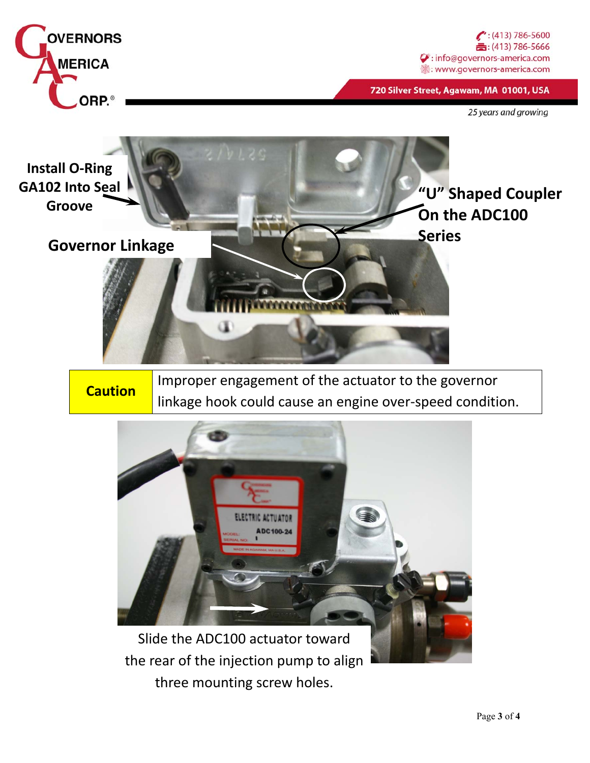

25 years and growing



**Caution** Improper engagement of the actuator to the governor linkage hook could cause an engine over‐speed condition.



the rear of the injection pump to align three mounting screw holes.